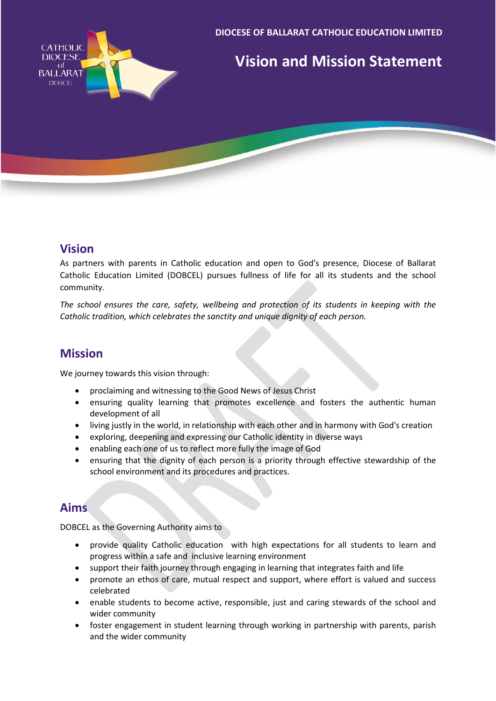

## **Vision**

As partners with parents in Catholic education and open to God's presence, Diocese of Ballarat Catholic Education Limited (DOBCEL) pursues fullness of life for all its students and the school community.

*The school ensures the care, safety, wellbeing and protection of its students in keeping with the Catholic tradition, which celebrates the sanctity and unique dignity of each person.*

## **Mission**

We journey towards this vision through:

- proclaiming and witnessing to the Good News of Jesus Christ
- ensuring quality learning that promotes excellence and fosters the authentic human development of all
- living justly in the world, in relationship with each other and in harmony with God's creation
- exploring, deepening and expressing our Catholic identity in diverse ways
- enabling each one of us to reflect more fully the image of God
- ensuring that the dignity of each person is a priority through effective stewardship of the school environment and its procedures and practices.

## **Aims**

DOBCEL as the Governing Authority aims to

- provide quality Catholic education with high expectations for all students to learn and progress within a safe and inclusive learning environment
- support their faith journey through engaging in learning that integrates faith and life
- promote an ethos of care, mutual respect and support, where effort is valued and success celebrated
- enable students to become active, responsible, just and caring stewards of the school and wider community
- foster engagement in student learning through working in partnership with parents, parish and the wider community